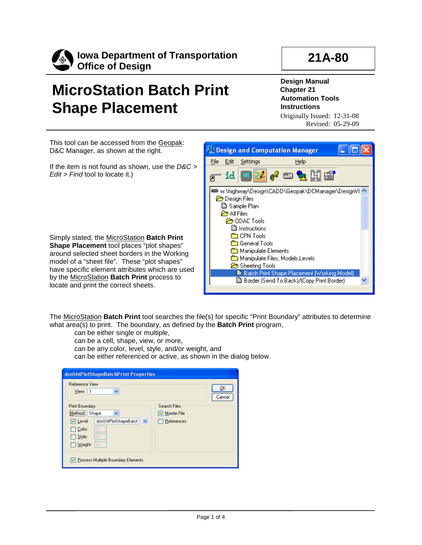

**Iowa Department of Transportation Office of Design**

## **21A-80**

## **MicroStation Batch Print Shape Placement**

**Design Manual Chapter 21 Automation Tools Instructions** Originally Issued: 12-31-08

Revised: 05-29-09

This tool can be accessed from the Geopak: D&C Manager, as shown at the right.

If the item is not found as shown, use the *D&C > Edit > Find* tool to locate it.)

Simply stated, the MicroStation **Batch Print Shape Placement** tool places "plot shapes" around selected sheet borders in the Working model of a "sheet file". These "plot shapes" have specific element attributes which are used by the MicroStation **Batch Print** process to locate and print the correct sheets.



The MicroStation **Batch Print** tool searches the file(s) for specific "Print Boundary" attributes to determine what area(s) to print. The boundary, as defined by the **Batch Print** program,

- can be either single or multiple,
- can be a cell, shape, view, or more,
- can be any color, level, style, and/or weight, and
- can be either referenced or active, as shown in the dialog below.

| dsnShtPlotShapeBatchPrint Properties<br>Reference View<br>ŪΚ<br>View: 1<br>v<br>Cancel                               |                             |  |  |  |
|----------------------------------------------------------------------------------------------------------------------|-----------------------------|--|--|--|
| Print Boundary<br>Method: Shape<br>$\checkmark$                                                                      | Search Files<br>Master File |  |  |  |
| <b>V</b> Level:<br>dsnShtPlotShapeBatch<br>$\checkmark$<br>0<br>Color:<br>l o<br>Style:<br>$\overline{0}$<br>Weight: | References                  |  |  |  |
| Process Multiple Boundary Elements                                                                                   |                             |  |  |  |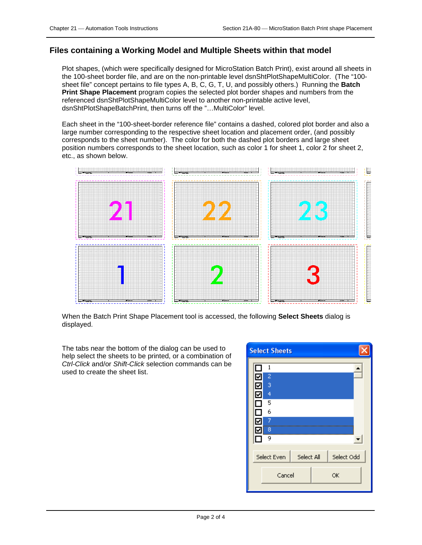## **Files containing a Working Model and Multiple Sheets within that model**

Plot shapes, (which were specifically designed for MicroStation Batch Print), exist around all sheets in the 100-sheet border file, and are on the non-printable level dsnShtPlotShapeMultiColor. (The "100 sheet file" concept pertains to file types A, B, C, G, T, U, and possibly others.) Running the **Batch Print Shape Placement** program copies the selected plot border shapes and numbers from the referenced dsnShtPlotShapeMultiColor level to another non-printable active level, dsnShtPlotShapeBatchPrint, then turns off the "…MultiColor" level.

Each sheet in the "100-sheet-border reference file" contains a dashed, colored plot border and also a large number corresponding to the respective sheet location and placement order, (and possibly corresponds to the sheet number). The color for both the dashed plot borders and large sheet position numbers corresponds to the sheet location, such as color 1 for sheet 1, color 2 for sheet 2, etc., as shown below.



When the Batch Print Shape Placement tool is accessed, the following **Select Sheets** dialog is displayed.

The tabs near the bottom of the dialog can be used to help select the sheets to be printed, or a combination of *Ctrl-Click* and/or *Shift-Click* selection commands can be used to create the sheet list.

| <b>Select Sheets</b>  |                                                        |            |            |
|-----------------------|--------------------------------------------------------|------------|------------|
| ☑<br>⊽<br>☑<br>٧<br>☑ | 1<br>2<br>3<br>$\overline{4}$<br>5<br>6<br>7<br>8<br>9 |            |            |
|                       | Select Even                                            | Select All | Select Odd |
|                       | Cancel                                                 |            | ОК         |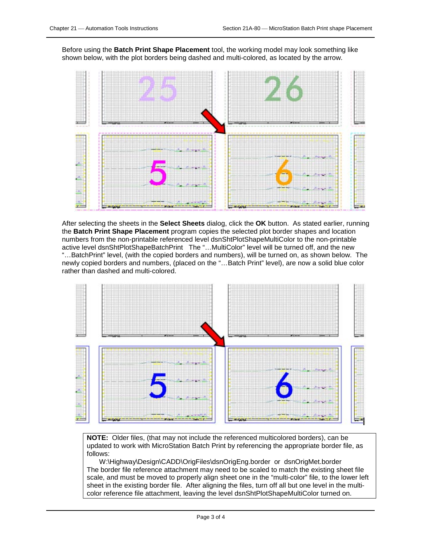Before using the **Batch Print Shape Placement** tool, the working model may look something like shown below, with the plot borders being dashed and multi-colored, as located by the arrow.



After selecting the sheets in the **Select Sheets** dialog, click the **OK** button. As stated earlier, running the **Batch Print Shape Placement** program copies the selected plot border shapes and location numbers from the non-printable referenced level dsnShtPlotShapeMultiColor to the non-printable active level dsnShtPlotShapeBatchPrint The "…MultiColor" level will be turned off, and the new "…BatchPrint" level, (with the copied borders and numbers), will be turned on, as shown below. The newly copied borders and numbers, (placed on the "…Batch Print" level), are now a solid blue color rather than dashed and multi-colored.



**NOTE:** Older files, (that may not include the referenced multicolored borders), can be updated to work with MicroStation Batch Print by referencing the appropriate border file, as follows:

W:\Highway\Design\CADD\OrigFiles\dsnOrigEng.border or dsnOrigMet.border The border file reference attachment may need to be scaled to match the existing sheet file scale, and must be moved to properly align sheet one in the "multi-color" file, to the lower left sheet in the existing border file. After aligning the files, turn off all but one level in the multicolor reference file attachment, leaving the level dsnShtPlotShapeMultiColor turned on.